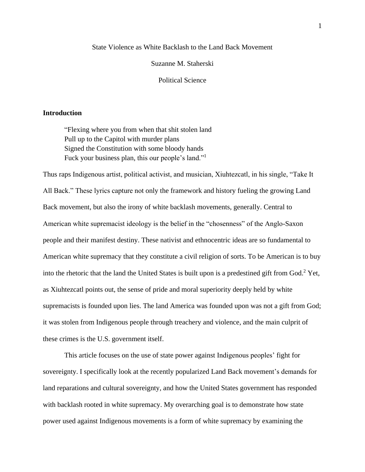## State Violence as White Backlash to the Land Back Movement

### Suzanne M. Staherski

Political Science

## **Introduction**

"Flexing where you from when that shit stolen land Pull up to the Capitol with murder plans Signed the Constitution with some bloody hands Fuck your business plan, this our people's land."<sup>1</sup>

Thus raps Indigenous artist, political activist, and musician, Xiuhtezcatl, in his single, "Take It All Back." These lyrics capture not only the framework and history fueling the growing Land Back movement, but also the irony of white backlash movements, generally. Central to American white supremacist ideology is the belief in the "chosenness" of the Anglo-Saxon people and their manifest destiny. These nativist and ethnocentric ideas are so fundamental to American white supremacy that they constitute a civil religion of sorts. To be American is to buy into the rhetoric that the land the United States is built upon is a predestined gift from God.<sup>2</sup> Yet, as Xiuhtezcatl points out, the sense of pride and moral superiority deeply held by white supremacists is founded upon lies. The land America was founded upon was not a gift from God; it was stolen from Indigenous people through treachery and violence, and the main culprit of these crimes is the U.S. government itself.

This article focuses on the use of state power against Indigenous peoples' fight for sovereignty. I specifically look at the recently popularized Land Back movement's demands for land reparations and cultural sovereignty, and how the United States government has responded with backlash rooted in white supremacy. My overarching goal is to demonstrate how state power used against Indigenous movements is a form of white supremacy by examining the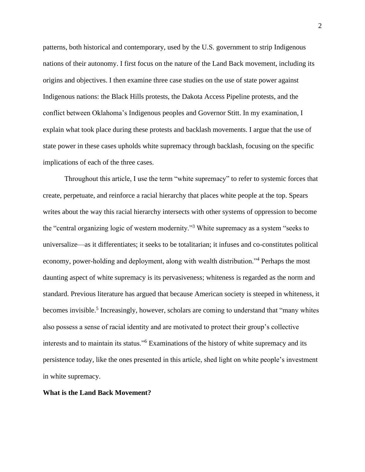patterns, both historical and contemporary, used by the U.S. government to strip Indigenous nations of their autonomy. I first focus on the nature of the Land Back movement, including its origins and objectives. I then examine three case studies on the use of state power against Indigenous nations: the Black Hills protests, the Dakota Access Pipeline protests, and the conflict between Oklahoma's Indigenous peoples and Governor Stitt. In my examination, I explain what took place during these protests and backlash movements. I argue that the use of state power in these cases upholds white supremacy through backlash, focusing on the specific implications of each of the three cases.

Throughout this article, I use the term "white supremacy" to refer to systemic forces that create, perpetuate, and reinforce a racial hierarchy that places white people at the top. Spears writes about the way this racial hierarchy intersects with other systems of oppression to become the "central organizing logic of western modernity."<sup>3</sup> White supremacy as a system "seeks to universalize—as it differentiates; it seeks to be totalitarian; it infuses and co-constitutes political economy, power-holding and deployment, along with wealth distribution."<sup>4</sup> Perhaps the most daunting aspect of white supremacy is its pervasiveness; whiteness is regarded as the norm and standard. Previous literature has argued that because American society is steeped in whiteness, it becomes invisible.<sup>5</sup> Increasingly, however, scholars are coming to understand that "many whites also possess a sense of racial identity and are motivated to protect their group's collective interests and to maintain its status."<sup>6</sup> Examinations of the history of white supremacy and its persistence today, like the ones presented in this article, shed light on white people's investment in white supremacy.

**What is the Land Back Movement?**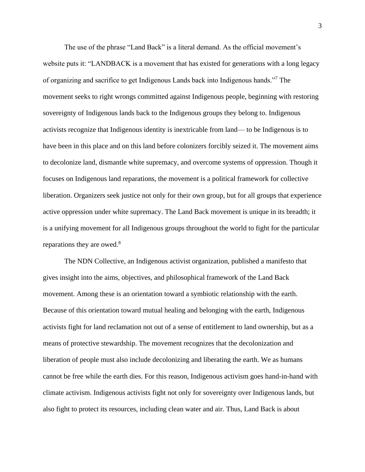The use of the phrase "Land Back" is a literal demand. As the official movement's website puts it: "LANDBACK is a movement that has existed for generations with a long legacy of organizing and sacrifice to get Indigenous Lands back into Indigenous hands."<sup>7</sup> The movement seeks to right wrongs committed against Indigenous people, beginning with restoring sovereignty of Indigenous lands back to the Indigenous groups they belong to. Indigenous activists recognize that Indigenous identity is inextricable from land— to be Indigenous is to have been in this place and on this land before colonizers forcibly seized it. The movement aims to decolonize land, dismantle white supremacy, and overcome systems of oppression. Though it focuses on Indigenous land reparations, the movement is a political framework for collective liberation. Organizers seek justice not only for their own group, but for all groups that experience active oppression under white supremacy. The Land Back movement is unique in its breadth; it is a unifying movement for all Indigenous groups throughout the world to fight for the particular reparations they are owed. 8

The NDN Collective, an Indigenous activist organization, published a manifesto that gives insight into the aims, objectives, and philosophical framework of the Land Back movement. Among these is an orientation toward a symbiotic relationship with the earth. Because of this orientation toward mutual healing and belonging with the earth, Indigenous activists fight for land reclamation not out of a sense of entitlement to land ownership, but as a means of protective stewardship. The movement recognizes that the decolonization and liberation of people must also include decolonizing and liberating the earth. We as humans cannot be free while the earth dies. For this reason, Indigenous activism goes hand-in-hand with climate activism. Indigenous activists fight not only for sovereignty over Indigenous lands, but also fight to protect its resources, including clean water and air. Thus, Land Back is about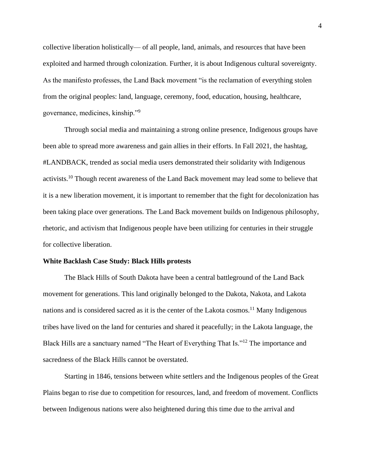collective liberation holistically— of all people, land, animals, and resources that have been exploited and harmed through colonization. Further, it is about Indigenous cultural sovereignty. As the manifesto professes, the Land Back movement "is the reclamation of everything stolen from the original peoples: land, language, ceremony, food, education, housing, healthcare, governance, medicines, kinship."<sup>9</sup>

Through social media and maintaining a strong online presence, Indigenous groups have been able to spread more awareness and gain allies in their efforts. In Fall 2021, the hashtag, #LANDBACK, trended as social media users demonstrated their solidarity with Indigenous activists.<sup>10</sup> Though recent awareness of the Land Back movement may lead some to believe that it is a new liberation movement, it is important to remember that the fight for decolonization has been taking place over generations. The Land Back movement builds on Indigenous philosophy, rhetoric, and activism that Indigenous people have been utilizing for centuries in their struggle for collective liberation.

#### **White Backlash Case Study: Black Hills protests**

The Black Hills of South Dakota have been a central battleground of the Land Back movement for generations. This land originally belonged to the Dakota, Nakota, and Lakota nations and is considered sacred as it is the center of the Lakota cosmos.<sup>11</sup> Many Indigenous tribes have lived on the land for centuries and shared it peacefully; in the Lakota language, the Black Hills are a sanctuary named "The Heart of Everything That Is."<sup>12</sup> The importance and sacredness of the Black Hills cannot be overstated.

Starting in 1846, tensions between white settlers and the Indigenous peoples of the Great Plains began to rise due to competition for resources, land, and freedom of movement. Conflicts between Indigenous nations were also heightened during this time due to the arrival and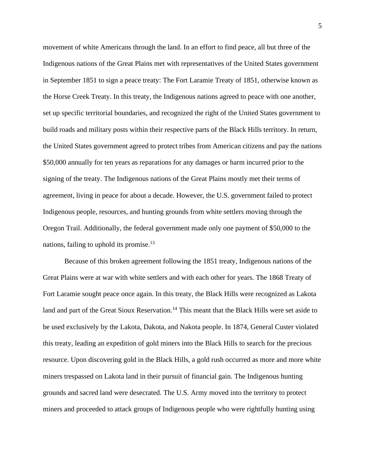movement of white Americans through the land. In an effort to find peace, all but three of the Indigenous nations of the Great Plains met with representatives of the United States government in September 1851 to sign a peace treaty: The Fort Laramie Treaty of 1851, otherwise known as the Horse Creek Treaty. In this treaty, the Indigenous nations agreed to peace with one another, set up specific territorial boundaries, and recognized the right of the United States government to build roads and military posts within their respective parts of the Black Hills territory. In return, the United States government agreed to protect tribes from American citizens and pay the nations \$50,000 annually for ten years as reparations for any damages or harm incurred prior to the signing of the treaty. The Indigenous nations of the Great Plains mostly met their terms of agreement, living in peace for about a decade. However, the U.S. government failed to protect Indigenous people, resources, and hunting grounds from white settlers moving through the Oregon Trail. Additionally, the federal government made only one payment of \$50,000 to the nations, failing to uphold its promise.<sup>13</sup>

Because of this broken agreement following the 1851 treaty, Indigenous nations of the Great Plains were at war with white settlers and with each other for years. The 1868 Treaty of Fort Laramie sought peace once again. In this treaty, the Black Hills were recognized as Lakota land and part of the Great Sioux Reservation.<sup>14</sup> This meant that the Black Hills were set aside to be used exclusively by the Lakota, Dakota, and Nakota people. In 1874, General Custer violated this treaty, leading an expedition of gold miners into the Black Hills to search for the precious resource. Upon discovering gold in the Black Hills, a gold rush occurred as more and more white miners trespassed on Lakota land in their pursuit of financial gain. The Indigenous hunting grounds and sacred land were desecrated. The U.S. Army moved into the territory to protect miners and proceeded to attack groups of Indigenous people who were rightfully hunting using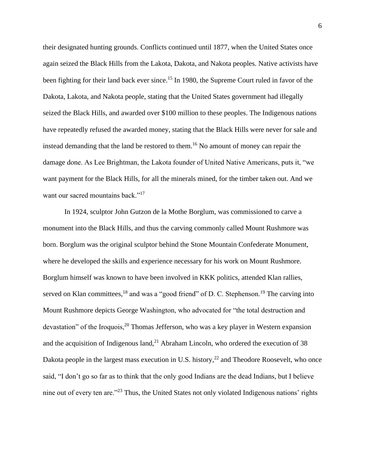their designated hunting grounds. Conflicts continued until 1877, when the United States once again seized the Black Hills from the Lakota, Dakota, and Nakota peoples. Native activists have been fighting for their land back ever since.<sup>15</sup> In 1980, the Supreme Court ruled in favor of the Dakota, Lakota, and Nakota people, stating that the United States government had illegally seized the Black Hills, and awarded over \$100 million to these peoples. The Indigenous nations have repeatedly refused the awarded money, stating that the Black Hills were never for sale and instead demanding that the land be restored to them.<sup>16</sup> No amount of money can repair the damage done. As Lee Brightman, the Lakota founder of United Native Americans, puts it, "we want payment for the Black Hills, for all the minerals mined, for the timber taken out. And we want our sacred mountains back."<sup>17</sup>

In 1924, sculptor John Gutzon de la Mothe Borglum, was commissioned to carve a monument into the Black Hills, and thus the carving commonly called Mount Rushmore was born. Borglum was the original sculptor behind the Stone Mountain Confederate Monument, where he developed the skills and experience necessary for his work on Mount Rushmore. Borglum himself was known to have been involved in KKK politics, attended Klan rallies, served on Klan committees,  $^{18}$  and was a "good friend" of D. C. Stephenson.<sup>19</sup> The carving into Mount Rushmore depicts George Washington, who advocated for "the total destruction and devastation" of the Iroquois,<sup>20</sup> Thomas Jefferson, who was a key player in Western expansion and the acquisition of Indigenous land, $2<sup>1</sup>$  Abraham Lincoln, who ordered the execution of 38 Dakota people in the largest mass execution in U.S. history,<sup>22</sup> and Theodore Roosevelt, who once said, "I don't go so far as to think that the only good Indians are the dead Indians, but I believe nine out of every ten are."<sup>23</sup> Thus, the United States not only violated Indigenous nations' rights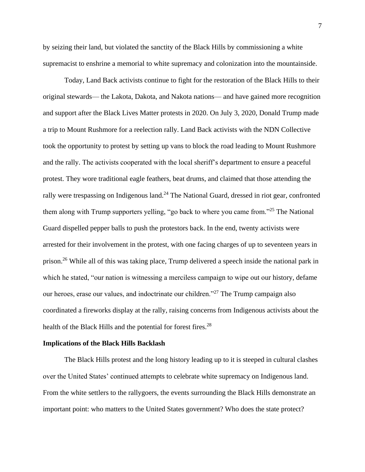by seizing their land, but violated the sanctity of the Black Hills by commissioning a white supremacist to enshrine a memorial to white supremacy and colonization into the mountainside.

Today, Land Back activists continue to fight for the restoration of the Black Hills to their original stewards— the Lakota, Dakota, and Nakota nations— and have gained more recognition and support after the Black Lives Matter protests in 2020. On July 3, 2020, Donald Trump made a trip to Mount Rushmore for a reelection rally. Land Back activists with the NDN Collective took the opportunity to protest by setting up vans to block the road leading to Mount Rushmore and the rally. The activists cooperated with the local sheriff's department to ensure a peaceful protest. They wore traditional eagle feathers, beat drums, and claimed that those attending the rally were trespassing on Indigenous land.<sup>24</sup> The National Guard, dressed in riot gear, confronted them along with Trump supporters yelling, "go back to where you came from."<sup>25</sup> The National Guard dispelled pepper balls to push the protestors back. In the end, twenty activists were arrested for their involvement in the protest, with one facing charges of up to seventeen years in prison.<sup>26</sup> While all of this was taking place, Trump delivered a speech inside the national park in which he stated, "our nation is witnessing a merciless campaign to wipe out our history, defame our heroes, erase our values, and indoctrinate our children."<sup>27</sup> The Trump campaign also coordinated a fireworks display at the rally, raising concerns from Indigenous activists about the health of the Black Hills and the potential for forest fires.<sup>28</sup>

#### **Implications of the Black Hills Backlash**

The Black Hills protest and the long history leading up to it is steeped in cultural clashes over the United States' continued attempts to celebrate white supremacy on Indigenous land. From the white settlers to the rallygoers, the events surrounding the Black Hills demonstrate an important point: who matters to the United States government? Who does the state protect?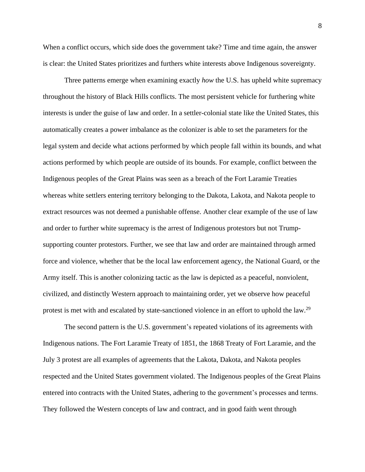When a conflict occurs, which side does the government take? Time and time again, the answer is clear: the United States prioritizes and furthers white interests above Indigenous sovereignty.

Three patterns emerge when examining exactly *how* the U.S. has upheld white supremacy throughout the history of Black Hills conflicts. The most persistent vehicle for furthering white interests is under the guise of law and order. In a settler-colonial state like the United States, this automatically creates a power imbalance as the colonizer is able to set the parameters for the legal system and decide what actions performed by which people fall within its bounds, and what actions performed by which people are outside of its bounds. For example, conflict between the Indigenous peoples of the Great Plains was seen as a breach of the Fort Laramie Treaties whereas white settlers entering territory belonging to the Dakota, Lakota, and Nakota people to extract resources was not deemed a punishable offense. Another clear example of the use of law and order to further white supremacy is the arrest of Indigenous protestors but not Trumpsupporting counter protestors. Further, we see that law and order are maintained through armed force and violence, whether that be the local law enforcement agency, the National Guard, or the Army itself. This is another colonizing tactic as the law is depicted as a peaceful, nonviolent, civilized, and distinctly Western approach to maintaining order, yet we observe how peaceful protest is met with and escalated by state-sanctioned violence in an effort to uphold the law.<sup>29</sup>

The second pattern is the U.S. government's repeated violations of its agreements with Indigenous nations. The Fort Laramie Treaty of 1851, the 1868 Treaty of Fort Laramie, and the July 3 protest are all examples of agreements that the Lakota, Dakota, and Nakota peoples respected and the United States government violated. The Indigenous peoples of the Great Plains entered into contracts with the United States, adhering to the government's processes and terms. They followed the Western concepts of law and contract, and in good faith went through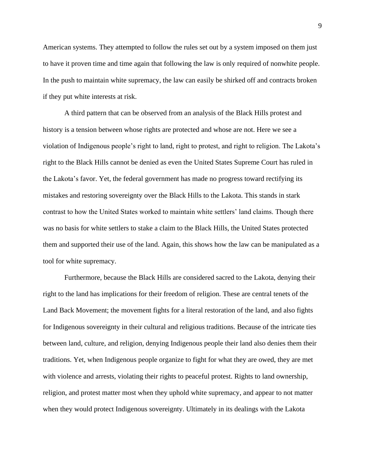American systems. They attempted to follow the rules set out by a system imposed on them just to have it proven time and time again that following the law is only required of nonwhite people. In the push to maintain white supremacy, the law can easily be shirked off and contracts broken if they put white interests at risk.

A third pattern that can be observed from an analysis of the Black Hills protest and history is a tension between whose rights are protected and whose are not. Here we see a violation of Indigenous people's right to land, right to protest, and right to religion. The Lakota's right to the Black Hills cannot be denied as even the United States Supreme Court has ruled in the Lakota's favor. Yet, the federal government has made no progress toward rectifying its mistakes and restoring sovereignty over the Black Hills to the Lakota. This stands in stark contrast to how the United States worked to maintain white settlers' land claims. Though there was no basis for white settlers to stake a claim to the Black Hills, the United States protected them and supported their use of the land. Again, this shows how the law can be manipulated as a tool for white supremacy.

Furthermore, because the Black Hills are considered sacred to the Lakota, denying their right to the land has implications for their freedom of religion. These are central tenets of the Land Back Movement; the movement fights for a literal restoration of the land, and also fights for Indigenous sovereignty in their cultural and religious traditions. Because of the intricate ties between land, culture, and religion, denying Indigenous people their land also denies them their traditions. Yet, when Indigenous people organize to fight for what they are owed, they are met with violence and arrests, violating their rights to peaceful protest. Rights to land ownership, religion, and protest matter most when they uphold white supremacy, and appear to not matter when they would protect Indigenous sovereignty. Ultimately in its dealings with the Lakota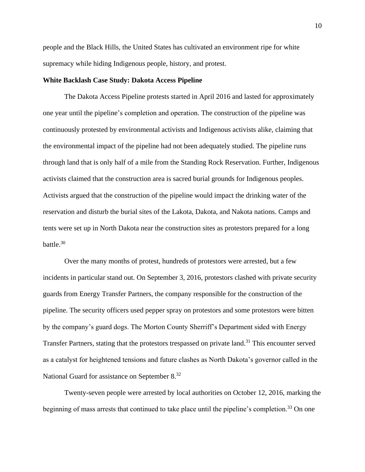people and the Black Hills, the United States has cultivated an environment ripe for white supremacy while hiding Indigenous people, history, and protest.

### **White Backlash Case Study: Dakota Access Pipeline**

The Dakota Access Pipeline protests started in April 2016 and lasted for approximately one year until the pipeline's completion and operation. The construction of the pipeline was continuously protested by environmental activists and Indigenous activists alike, claiming that the environmental impact of the pipeline had not been adequately studied. The pipeline runs through land that is only half of a mile from the Standing Rock Reservation. Further, Indigenous activists claimed that the construction area is sacred burial grounds for Indigenous peoples. Activists argued that the construction of the pipeline would impact the drinking water of the reservation and disturb the burial sites of the Lakota, Dakota, and Nakota nations. Camps and tents were set up in North Dakota near the construction sites as protestors prepared for a long battle.<sup>30</sup>

Over the many months of protest, hundreds of protestors were arrested, but a few incidents in particular stand out. On September 3, 2016, protestors clashed with private security guards from Energy Transfer Partners, the company responsible for the construction of the pipeline. The security officers used pepper spray on protestors and some protestors were bitten by the company's guard dogs. The Morton County Sherriff's Department sided with Energy Transfer Partners, stating that the protestors trespassed on private land.<sup>31</sup> This encounter served as a catalyst for heightened tensions and future clashes as North Dakota's governor called in the National Guard for assistance on September 8.<sup>32</sup>

Twenty-seven people were arrested by local authorities on October 12, 2016, marking the beginning of mass arrests that continued to take place until the pipeline's completion.<sup>33</sup> On one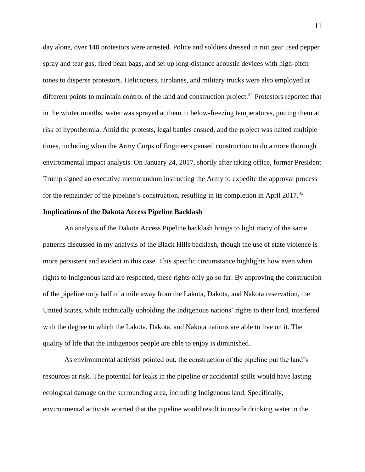day alone, over 140 protestors were arrested. Police and soldiers dressed in riot gear used pepper spray and tear gas, fired bean bags, and set up long-distance acoustic devices with high-pitch tones to disperse protestors. Helicopters, airplanes, and military trucks were also employed at different points to maintain control of the land and construction project.<sup>34</sup> Protestors reported that in the winter months, water was sprayed at them in below-freezing temperatures, putting them at risk of hypothermia. Amid the protests, legal battles ensued, and the project was halted multiple times, including when the Army Corps of Engineers paused construction to do a more thorough environmental impact analysis. On January 24, 2017, shortly after taking office, former President Trump signed an executive memorandum instructing the Army to expedite the approval process for the remainder of the pipeline's construction, resulting in its completion in April 2017.<sup>35</sup>

### **Implications of the Dakota Access Pipeline Backlash**

An analysis of the Dakota Access Pipeline backlash brings to light many of the same patterns discussed in my analysis of the Black Hills backlash, though the use of state violence is more persistent and evident in this case. This specific circumstance highlights how even when rights to Indigenous land are respected, these rights only go so far. By approving the construction of the pipeline only half of a mile away from the Lakota, Dakota, and Nakota reservation, the United States, while technically upholding the Indigenous nations' rights to their land, interfered with the degree to which the Lakota, Dakota, and Nakota nations are able to live on it. The quality of life that the Indigenous people are able to enjoy is diminished.

As environmental activists pointed out, the construction of the pipeline put the land's resources at risk. The potential for leaks in the pipeline or accidental spills would have lasting ecological damage on the surrounding area, including Indigenous land. Specifically, environmental activists worried that the pipeline would result in unsafe drinking water in the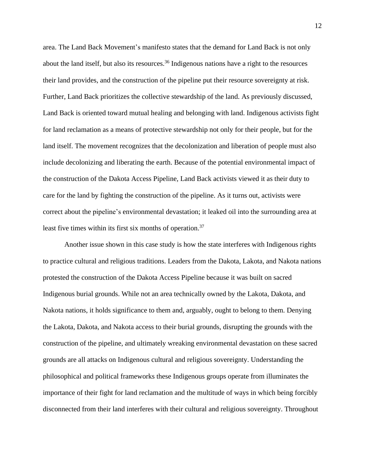area. The Land Back Movement's manifesto states that the demand for Land Back is not only about the land itself, but also its resources.<sup>36</sup> Indigenous nations have a right to the resources their land provides, and the construction of the pipeline put their resource sovereignty at risk. Further, Land Back prioritizes the collective stewardship of the land. As previously discussed, Land Back is oriented toward mutual healing and belonging with land. Indigenous activists fight for land reclamation as a means of protective stewardship not only for their people, but for the land itself. The movement recognizes that the decolonization and liberation of people must also include decolonizing and liberating the earth. Because of the potential environmental impact of the construction of the Dakota Access Pipeline, Land Back activists viewed it as their duty to care for the land by fighting the construction of the pipeline. As it turns out, activists were correct about the pipeline's environmental devastation; it leaked oil into the surrounding area at least five times within its first six months of operation.<sup>37</sup>

Another issue shown in this case study is how the state interferes with Indigenous rights to practice cultural and religious traditions. Leaders from the Dakota, Lakota, and Nakota nations protested the construction of the Dakota Access Pipeline because it was built on sacred Indigenous burial grounds. While not an area technically owned by the Lakota, Dakota, and Nakota nations, it holds significance to them and, arguably, ought to belong to them. Denying the Lakota, Dakota, and Nakota access to their burial grounds, disrupting the grounds with the construction of the pipeline, and ultimately wreaking environmental devastation on these sacred grounds are all attacks on Indigenous cultural and religious sovereignty. Understanding the philosophical and political frameworks these Indigenous groups operate from illuminates the importance of their fight for land reclamation and the multitude of ways in which being forcibly disconnected from their land interferes with their cultural and religious sovereignty. Throughout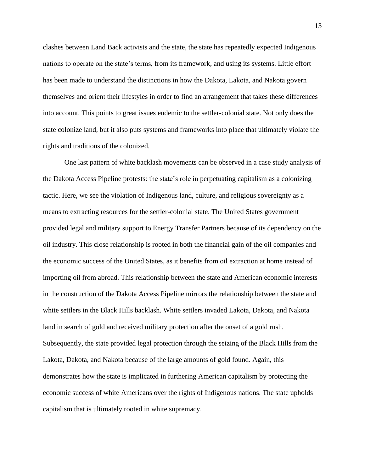clashes between Land Back activists and the state, the state has repeatedly expected Indigenous nations to operate on the state's terms, from its framework, and using its systems. Little effort has been made to understand the distinctions in how the Dakota, Lakota, and Nakota govern themselves and orient their lifestyles in order to find an arrangement that takes these differences into account. This points to great issues endemic to the settler-colonial state. Not only does the state colonize land, but it also puts systems and frameworks into place that ultimately violate the rights and traditions of the colonized.

One last pattern of white backlash movements can be observed in a case study analysis of the Dakota Access Pipeline protests: the state's role in perpetuating capitalism as a colonizing tactic. Here, we see the violation of Indigenous land, culture, and religious sovereignty as a means to extracting resources for the settler-colonial state. The United States government provided legal and military support to Energy Transfer Partners because of its dependency on the oil industry. This close relationship is rooted in both the financial gain of the oil companies and the economic success of the United States, as it benefits from oil extraction at home instead of importing oil from abroad. This relationship between the state and American economic interests in the construction of the Dakota Access Pipeline mirrors the relationship between the state and white settlers in the Black Hills backlash. White settlers invaded Lakota, Dakota, and Nakota land in search of gold and received military protection after the onset of a gold rush. Subsequently, the state provided legal protection through the seizing of the Black Hills from the Lakota, Dakota, and Nakota because of the large amounts of gold found. Again, this demonstrates how the state is implicated in furthering American capitalism by protecting the economic success of white Americans over the rights of Indigenous nations. The state upholds capitalism that is ultimately rooted in white supremacy.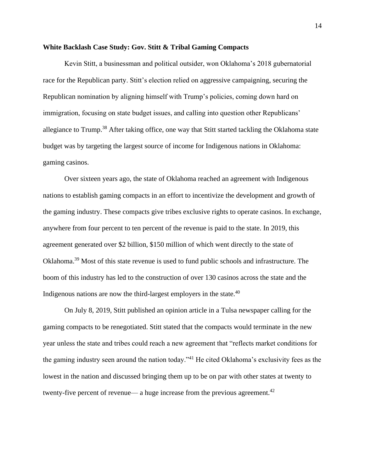#### **White Backlash Case Study: Gov. Stitt & Tribal Gaming Compacts**

Kevin Stitt, a businessman and political outsider, won Oklahoma's 2018 gubernatorial race for the Republican party. Stitt's election relied on aggressive campaigning, securing the Republican nomination by aligning himself with Trump's policies, coming down hard on immigration, focusing on state budget issues, and calling into question other Republicans' allegiance to Trump.<sup>38</sup> After taking office, one way that Stitt started tackling the Oklahoma state budget was by targeting the largest source of income for Indigenous nations in Oklahoma: gaming casinos.

Over sixteen years ago, the state of Oklahoma reached an agreement with Indigenous nations to establish gaming compacts in an effort to incentivize the development and growth of the gaming industry. These compacts give tribes exclusive rights to operate casinos. In exchange, anywhere from four percent to ten percent of the revenue is paid to the state. In 2019, this agreement generated over \$2 billion, \$150 million of which went directly to the state of Oklahoma.<sup>39</sup> Most of this state revenue is used to fund public schools and infrastructure. The boom of this industry has led to the construction of over 130 casinos across the state and the Indigenous nations are now the third-largest employers in the state.<sup>40</sup>

On July 8, 2019, Stitt published an opinion article in a Tulsa newspaper calling for the gaming compacts to be renegotiated. Stitt stated that the compacts would terminate in the new year unless the state and tribes could reach a new agreement that "reflects market conditions for the gaming industry seen around the nation today."<sup>41</sup> He cited Oklahoma's exclusivity fees as the lowest in the nation and discussed bringing them up to be on par with other states at twenty to twenty-five percent of revenue— a huge increase from the previous agreement.<sup>42</sup>

14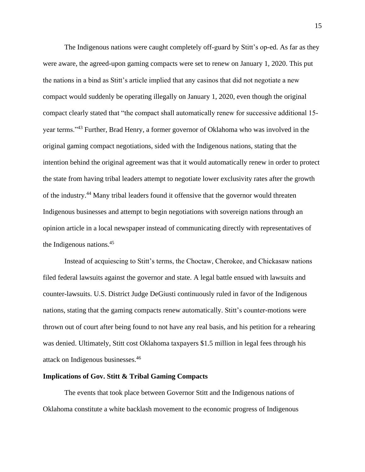The Indigenous nations were caught completely off-guard by Stitt's op-ed. As far as they were aware, the agreed-upon gaming compacts were set to renew on January 1, 2020. This put the nations in a bind as Stitt's article implied that any casinos that did not negotiate a new compact would suddenly be operating illegally on January 1, 2020, even though the original compact clearly stated that "the compact shall automatically renew for successive additional 15 year terms."<sup>43</sup> Further, Brad Henry, a former governor of Oklahoma who was involved in the original gaming compact negotiations, sided with the Indigenous nations, stating that the intention behind the original agreement was that it would automatically renew in order to protect the state from having tribal leaders attempt to negotiate lower exclusivity rates after the growth of the industry.<sup>44</sup> Many tribal leaders found it offensive that the governor would threaten Indigenous businesses and attempt to begin negotiations with sovereign nations through an opinion article in a local newspaper instead of communicating directly with representatives of the Indigenous nations.<sup>45</sup>

Instead of acquiescing to Stitt's terms, the Choctaw, Cherokee, and Chickasaw nations filed federal lawsuits against the governor and state. A legal battle ensued with lawsuits and counter-lawsuits. U.S. District Judge DeGiusti continuously ruled in favor of the Indigenous nations, stating that the gaming compacts renew automatically. Stitt's counter-motions were thrown out of court after being found to not have any real basis, and his petition for a rehearing was denied. Ultimately, Stitt cost Oklahoma taxpayers \$1.5 million in legal fees through his attack on Indigenous businesses. 46

#### **Implications of Gov. Stitt & Tribal Gaming Compacts**

The events that took place between Governor Stitt and the Indigenous nations of Oklahoma constitute a white backlash movement to the economic progress of Indigenous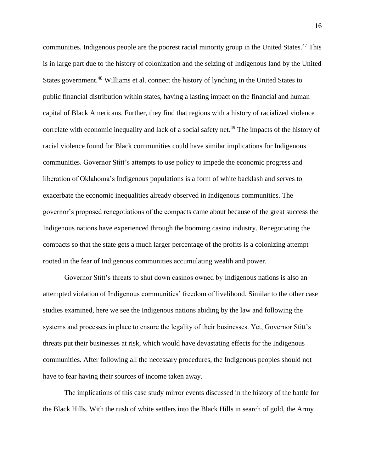communities. Indigenous people are the poorest racial minority group in the United States.<sup>47</sup> This is in large part due to the history of colonization and the seizing of Indigenous land by the United States government.<sup>48</sup> Williams et al. connect the history of lynching in the United States to public financial distribution within states, having a lasting impact on the financial and human capital of Black Americans. Further, they find that regions with a history of racialized violence correlate with economic inequality and lack of a social safety net.<sup>49</sup> The impacts of the history of racial violence found for Black communities could have similar implications for Indigenous communities. Governor Stitt's attempts to use policy to impede the economic progress and liberation of Oklahoma's Indigenous populations is a form of white backlash and serves to exacerbate the economic inequalities already observed in Indigenous communities. The governor's proposed renegotiations of the compacts came about because of the great success the Indigenous nations have experienced through the booming casino industry. Renegotiating the compacts so that the state gets a much larger percentage of the profits is a colonizing attempt rooted in the fear of Indigenous communities accumulating wealth and power.

Governor Stitt's threats to shut down casinos owned by Indigenous nations is also an attempted violation of Indigenous communities' freedom of livelihood. Similar to the other case studies examined, here we see the Indigenous nations abiding by the law and following the systems and processes in place to ensure the legality of their businesses. Yet, Governor Stitt's threats put their businesses at risk, which would have devastating effects for the Indigenous communities. After following all the necessary procedures, the Indigenous peoples should not have to fear having their sources of income taken away.

The implications of this case study mirror events discussed in the history of the battle for the Black Hills. With the rush of white settlers into the Black Hills in search of gold, the Army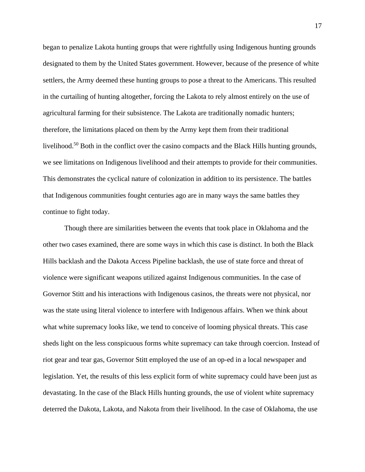began to penalize Lakota hunting groups that were rightfully using Indigenous hunting grounds designated to them by the United States government. However, because of the presence of white settlers, the Army deemed these hunting groups to pose a threat to the Americans. This resulted in the curtailing of hunting altogether, forcing the Lakota to rely almost entirely on the use of agricultural farming for their subsistence. The Lakota are traditionally nomadic hunters; therefore, the limitations placed on them by the Army kept them from their traditional livelihood.<sup>50</sup> Both in the conflict over the casino compacts and the Black Hills hunting grounds, we see limitations on Indigenous livelihood and their attempts to provide for their communities. This demonstrates the cyclical nature of colonization in addition to its persistence. The battles that Indigenous communities fought centuries ago are in many ways the same battles they continue to fight today.

Though there are similarities between the events that took place in Oklahoma and the other two cases examined, there are some ways in which this case is distinct. In both the Black Hills backlash and the Dakota Access Pipeline backlash, the use of state force and threat of violence were significant weapons utilized against Indigenous communities. In the case of Governor Stitt and his interactions with Indigenous casinos, the threats were not physical, nor was the state using literal violence to interfere with Indigenous affairs. When we think about what white supremacy looks like, we tend to conceive of looming physical threats. This case sheds light on the less conspicuous forms white supremacy can take through coercion. Instead of riot gear and tear gas, Governor Stitt employed the use of an op-ed in a local newspaper and legislation. Yet, the results of this less explicit form of white supremacy could have been just as devastating. In the case of the Black Hills hunting grounds, the use of violent white supremacy deterred the Dakota, Lakota, and Nakota from their livelihood. In the case of Oklahoma, the use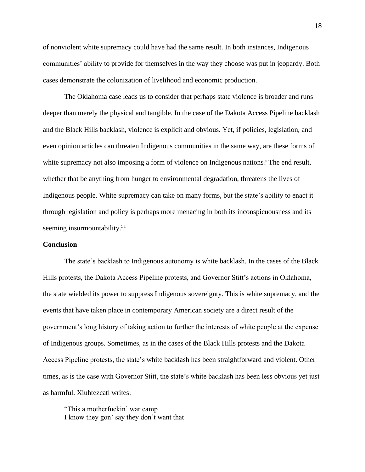of nonviolent white supremacy could have had the same result. In both instances, Indigenous communities' ability to provide for themselves in the way they choose was put in jeopardy. Both cases demonstrate the colonization of livelihood and economic production.

The Oklahoma case leads us to consider that perhaps state violence is broader and runs deeper than merely the physical and tangible. In the case of the Dakota Access Pipeline backlash and the Black Hills backlash, violence is explicit and obvious. Yet, if policies, legislation, and even opinion articles can threaten Indigenous communities in the same way, are these forms of white supremacy not also imposing a form of violence on Indigenous nations? The end result, whether that be anything from hunger to environmental degradation, threatens the lives of Indigenous people. White supremacy can take on many forms, but the state's ability to enact it through legislation and policy is perhaps more menacing in both its inconspicuousness and its seeming insurmountability.<sup>51</sup>

#### **Conclusion**

The state's backlash to Indigenous autonomy is white backlash. In the cases of the Black Hills protests, the Dakota Access Pipeline protests, and Governor Stitt's actions in Oklahoma, the state wielded its power to suppress Indigenous sovereignty. This is white supremacy, and the events that have taken place in contemporary American society are a direct result of the government's long history of taking action to further the interests of white people at the expense of Indigenous groups. Sometimes, as in the cases of the Black Hills protests and the Dakota Access Pipeline protests, the state's white backlash has been straightforward and violent. Other times, as is the case with Governor Stitt, the state's white backlash has been less obvious yet just as harmful. Xiuhtezcatl writes:

"This a motherfuckin' war camp I know they gon' say they don't want that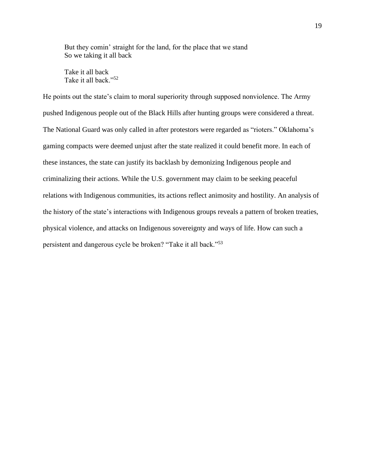But they comin' straight for the land, for the place that we stand So we taking it all back

Take it all back Take it all back."<sup>52</sup>

He points out the state's claim to moral superiority through supposed nonviolence. The Army pushed Indigenous people out of the Black Hills after hunting groups were considered a threat. The National Guard was only called in after protestors were regarded as "rioters." Oklahoma's gaming compacts were deemed unjust after the state realized it could benefit more. In each of these instances, the state can justify its backlash by demonizing Indigenous people and criminalizing their actions. While the U.S. government may claim to be seeking peaceful relations with Indigenous communities, its actions reflect animosity and hostility. An analysis of the history of the state's interactions with Indigenous groups reveals a pattern of broken treaties, physical violence, and attacks on Indigenous sovereignty and ways of life. How can such a persistent and dangerous cycle be broken? "Take it all back."<sup>53</sup>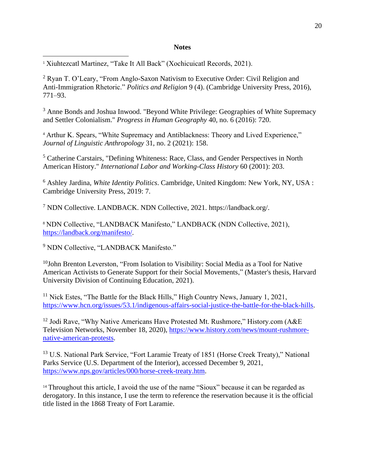# **Notes**

<sup>1</sup> Xiuhtezcatl Martinez, "Take It All Back" (Xochicuicatl Records, 2021).

<sup>2</sup> Ryan T. O'Leary, "From Anglo-Saxon Nativism to Executive Order: Civil Religion and Anti-Immigration Rhetoric." *Politics and Religion* 9 (4). (Cambridge University Press, 2016), 771–93.

<sup>3</sup> Anne Bonds and Joshua Inwood. "Beyond White Privilege: Geographies of White Supremacy and Settler Colonialism." *Progress in Human Geography* 40, no. 6 (2016): 720.

<sup>4</sup> Arthur K. Spears, "White Supremacy and Antiblackness: Theory and Lived Experience," *Journal of Linguistic Anthropology* 31, no. 2 (2021): 158.

<sup>5</sup> Catherine Carstairs, "Defining Whiteness: Race, Class, and Gender Perspectives in North American History." *International Labor and Working-Class History* 60 (2001): 203.

<sup>6</sup> Ashley Jardina, *White Identity Politics*. Cambridge, United Kingdom: New York, NY, USA : Cambridge University Press, 2019: 7.

<sup>7</sup> NDN Collective. LANDBACK. NDN Collective, 2021. https://landback.org/.

<sup>8</sup> NDN Collective, "LANDBACK Manifesto," LANDBACK (NDN Collective, 2021), [https://landback.org/manifesto/.](https://landback.org/manifesto/)

<sup>9</sup> NDN Collective, "LANDBACK Manifesto."

<sup>10</sup>John Brenton Leverston, "From Isolation to Visibility: Social Media as a Tool for Native American Activists to Generate Support for their Social Movements," (Master's thesis, Harvard University Division of Continuing Education, 2021).

<sup>11</sup> Nick Estes, "The Battle for the Black Hills," High Country News, January 1, 2021, [https://www.hcn.org/issues/53.1/indigenous-affairs-social-justice-the-battle-for-the-black-hills.](https://www.hcn.org/issues/53.1/indigenous-affairs-social-justice-the-battle-for-the-black-hills)

<sup>12</sup> Jodi Rave, "Why Native Americans Have Protested Mt. Rushmore," History.com (A&E Television Networks, November 18, 2020), [https://www.history.com/news/mount-rushmore](https://www.history.com/news/mount-rushmore-native-american-protests)[native-american-protests.](https://www.history.com/news/mount-rushmore-native-american-protests)

<sup>13</sup> U.S. National Park Service, "Fort Laramie Treaty of 1851 (Horse Creek Treaty)," National Parks Service (U.S. Department of the Interior), accessed December 9, 2021, [https://www.nps.gov/articles/000/horse-creek-treaty.htm.](https://www.nps.gov/articles/000/horse-creek-treaty.htm)

<sup>14</sup> Throughout this article, I avoid the use of the name "Sioux" because it can be regarded as derogatory. In this instance, I use the term to reference the reservation because it is the official title listed in the 1868 Treaty of Fort Laramie.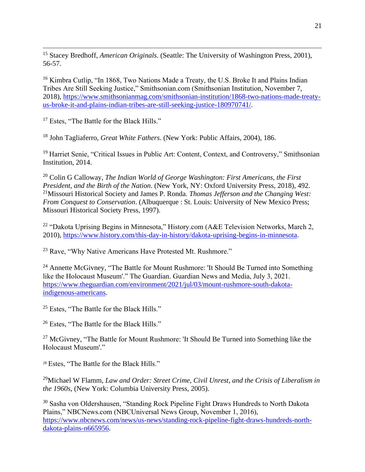<sup>15</sup> Stacey Bredhoff, *American Originals*. (Seattle: The University of Washington Press, 2001), 56-57.

<sup>16</sup> Kimbra Cutlip, "In 1868, Two Nations Made a Treaty, the U.S. Broke It and Plains Indian Tribes Are Still Seeking Justice," Smithsonian.com (Smithsonian Institution, November 7, 2018), [https://www.smithsonianmag.com/smithsonian-institution/1868-two-nations-made-treaty](https://www.smithsonianmag.com/smithsonian-institution/1868-two-nations-made-treaty-us-broke-it-and-plains-indian-tribes-are-still-seeking-justice-180970741/)[us-broke-it-and-plains-indian-tribes-are-still-seeking-justice-180970741/.](https://www.smithsonianmag.com/smithsonian-institution/1868-two-nations-made-treaty-us-broke-it-and-plains-indian-tribes-are-still-seeking-justice-180970741/)

<sup>17</sup> Estes, "The Battle for the Black Hills."

<sup>18</sup> John Tagliaferro, *Great White Fathers*. (New York: Public Affairs, 2004), 186.

<sup>19</sup> Harriet Senie, "Critical Issues in Public Art: Content, Context, and Controversy," Smithsonian Institution, 2014.

<sup>20</sup> Colin G Calloway, *The Indian World of George Washington: First Americans, the First President, and the Birth of the Nation*. (New York, NY: Oxford University Press, 2018), 492. <sup>21</sup>Missouri Historical Society and James P. Ronda. *Thomas Jefferson and the Changing West: From Conquest to Conservation*. (Albuquerque : St. Louis: University of New Mexico Press; Missouri Historical Society Press, 1997).

<sup>22</sup> "Dakota Uprising Begins in Minnesota," History.com (A&E Television Networks, March 2, 2010), [https://www.history.com/this-day-in-history/dakota-uprising-begins-in-minnesota.](https://www.history.com/this-day-in-history/dakota-uprising-begins-in-minnesota)

<sup>23</sup> Rave, "Why Native Americans Have Protested Mt. Rushmore."

<sup>24</sup> Annette McGivney, "The Battle for Mount Rushmore: 'It Should Be Turned into Something like the Holocaust Museum'." The Guardian. Guardian News and Media, July 3, 2021. [https://www.theguardian.com/environment/2021/jul/03/mount-rushmore-south-dakota](https://www.theguardian.com/environment/2021/jul/03/mount-rushmore-south-dakota-indigenous-americans)[indigenous-americans.](https://www.theguardian.com/environment/2021/jul/03/mount-rushmore-south-dakota-indigenous-americans)

<sup>25</sup> Estes, "The Battle for the Black Hills."

<sup>26</sup> Estes, "The Battle for the Black Hills."

 $27$  McGivney, "The Battle for Mount Rushmore: 'It Should Be Turned into Something like the Holocaust Museum'."

<sup>28</sup> Estes, "The Battle for the Black Hills."

<sup>29</sup>Michael W Flamm, *Law and Order: Street Crime, Civil Unrest, and the Crisis of Liberalism in the 1960s*, (New York: Columbia University Press, 2005).

<sup>30</sup> Sasha von Oldershausen, "Standing Rock Pipeline Fight Draws Hundreds to North Dakota Plains," NBCNews.com (NBCUniversal News Group, November 1, 2016), [https://www.nbcnews.com/news/us-news/standing-rock-pipeline-fight-draws-hundreds-north](https://www.nbcnews.com/news/us-news/standing-rock-pipeline-fight-draws-hundreds-north-dakota-plains-n665956)[dakota-plains-n665956.](https://www.nbcnews.com/news/us-news/standing-rock-pipeline-fight-draws-hundreds-north-dakota-plains-n665956)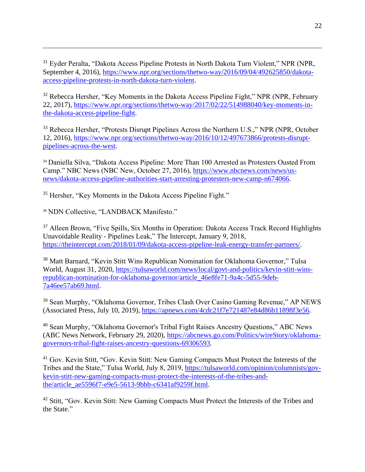<sup>31</sup> Eyder Peralta, "Dakota Access Pipeline Protests in North Dakota Turn Violent," NPR (NPR, September 4, 2016), [https://www.npr.org/sections/thetwo-way/2016/09/04/492625850/dakota](https://www.npr.org/sections/thetwo-way/2016/09/04/492625850/dakota-access-pipeline-protests-in-north-dakota-turn-violent)[access-pipeline-protests-in-north-dakota-turn-violent.](https://www.npr.org/sections/thetwo-way/2016/09/04/492625850/dakota-access-pipeline-protests-in-north-dakota-turn-violent)

<sup>32</sup> Rebecca Hersher, "Key Moments in the Dakota Access Pipeline Fight," NPR (NPR, February 22, 2017), [https://www.npr.org/sections/thetwo-way/2017/02/22/514988040/key-moments-in](https://www.npr.org/sections/thetwo-way/2017/02/22/514988040/key-moments-in-the-dakota-access-pipeline-fight)[the-dakota-access-pipeline-fight.](https://www.npr.org/sections/thetwo-way/2017/02/22/514988040/key-moments-in-the-dakota-access-pipeline-fight)

<sup>33</sup> Rebecca Hersher, "Protests Disrupt Pipelines Across the Northern U.S.," NPR (NPR, October 12, 2016), [https://www.npr.org/sections/thetwo-way/2016/10/12/497673866/protests-disrupt](https://www.npr.org/sections/thetwo-way/2016/10/12/497673866/protests-disrupt-pipelines-across-the-west)[pipelines-across-the-west.](https://www.npr.org/sections/thetwo-way/2016/10/12/497673866/protests-disrupt-pipelines-across-the-west)

<sup>34</sup> Daniella Silva, "Dakota Access Pipeline: More Than 100 Arrested as Protesters Ousted From Camp." NBC News (NBC New, October 27, 2016), [https://www.nbcnews.com/news/us](https://www.nbcnews.com/news/us-news/dakota-access-pipeline-authorities-start-arresting-protesters-new-camp-n674066)[news/dakota-access-pipeline-authorities-start-arresting-protesters-new-camp-n674066.](https://www.nbcnews.com/news/us-news/dakota-access-pipeline-authorities-start-arresting-protesters-new-camp-n674066)

<sup>35</sup> Hersher, "Key Moments in the Dakota Access Pipeline Fight."

<sup>36</sup> NDN Collective, "LANDBACK Manifesto."

<sup>37</sup> Alleen Brown, "Five Spills, Six Months in Operation: Dakota Access Track Record Highlights Unavoidable Reality - Pipelines Leak," The Intercept, January 9, 2018, [https://theintercept.com/2018/01/09/dakota-access-pipeline-leak-energy-transfer-partners/.](https://theintercept.com/2018/01/09/dakota-access-pipeline-leak-energy-transfer-partners/)

<sup>38</sup> Matt Barnard, "Kevin Stitt Wins Republican Nomination for Oklahoma Governor," Tulsa World, August 31, 2020, [https://tulsaworld.com/news/local/govt-and-politics/kevin-stitt-wins](https://tulsaworld.com/news/local/govt-and-politics/kevin-stitt-wins-republican-nomination-for-oklahoma-governor/article_46e8fe71-9a4c-5d55-9deb-7a46ee57ab69.html)[republican-nomination-for-oklahoma-governor/article\\_46e8fe71-9a4c-5d55-9deb-](https://tulsaworld.com/news/local/govt-and-politics/kevin-stitt-wins-republican-nomination-for-oklahoma-governor/article_46e8fe71-9a4c-5d55-9deb-7a46ee57ab69.html)[7a46ee57ab69.html.](https://tulsaworld.com/news/local/govt-and-politics/kevin-stitt-wins-republican-nomination-for-oklahoma-governor/article_46e8fe71-9a4c-5d55-9deb-7a46ee57ab69.html)

<sup>39</sup> Sean Murphy, "Oklahoma Governor, Tribes Clash Over Casino Gaming Revenue," AP NEWS (Associated Press, July 10, 2019), [https://apnews.com/4cdc21f7e721487e84d86b11898f3e56.](https://apnews.com/4cdc21f7e721487e84d86b11898f3e56)

<sup>40</sup> Sean Murphy, "Oklahoma Governor's Tribal Fight Raises Ancestry Questions," ABC News (ABC News Network, February 29, 2020), [https://abcnews.go.com/Politics/wireStory/oklahoma](https://abcnews.go.com/Politics/wireStory/oklahoma-governors-tribal-fight-raises-ancestry-questions-69306593)[governors-tribal-fight-raises-ancestry-questions-69306593.](https://abcnews.go.com/Politics/wireStory/oklahoma-governors-tribal-fight-raises-ancestry-questions-69306593)

<sup>41</sup> Gov. Kevin Stitt, "Gov. Kevin Stitt: New Gaming Compacts Must Protect the Interests of the Tribes and the State," Tulsa World, July 8, 2019, [https://tulsaworld.com/opinion/columnists/gov](https://tulsaworld.com/opinion/columnists/gov-kevin-stitt-new-gaming-compacts-must-protect-the-interests-of-the-tribes-and-the/article_ae5596f7-e9e5-5613-9bbb-c6341af9259f.html)[kevin-stitt-new-gaming-compacts-must-protect-the-interests-of-the-tribes-and](https://tulsaworld.com/opinion/columnists/gov-kevin-stitt-new-gaming-compacts-must-protect-the-interests-of-the-tribes-and-the/article_ae5596f7-e9e5-5613-9bbb-c6341af9259f.html)[the/article\\_ae5596f7-e9e5-5613-9bbb-c6341af9259f.html.](https://tulsaworld.com/opinion/columnists/gov-kevin-stitt-new-gaming-compacts-must-protect-the-interests-of-the-tribes-and-the/article_ae5596f7-e9e5-5613-9bbb-c6341af9259f.html)

<sup>42</sup> Stitt, "Gov. Kevin Stitt: New Gaming Compacts Must Protect the Interests of the Tribes and the State."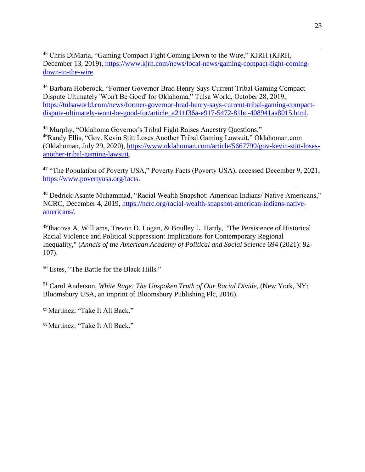<sup>43</sup> Chris DiMaria, "Gaming Compact Fight Coming Down to the Wire," KJRH (KJRH, December 13, 2019), [https://www.kjrh.com/news/local-news/gaming-compact-fight-coming](https://www.kjrh.com/news/local-news/gaming-compact-fight-coming-down-to-the-wire)[down-to-the-wire.](https://www.kjrh.com/news/local-news/gaming-compact-fight-coming-down-to-the-wire)

<sup>44</sup> Barbara Hoberock, "Former Governor Brad Henry Says Current Tribal Gaming Compact Dispute Ultimately 'Won't Be Good' for Oklahoma," Tulsa World, October 28, 2019, [https://tulsaworld.com/news/former-governor-brad-henry-says-current-tribal-gaming-compact](https://tulsaworld.com/news/former-governor-brad-henry-says-current-tribal-gaming-compact-dispute-ultimately-wont-be-good-for/article_a211f36a-e917-5472-81bc-408941aa8015.html)[dispute-ultimately-wont-be-good-for/article\\_a211f36a-e917-5472-81bc-408941aa8015.html.](https://tulsaworld.com/news/former-governor-brad-henry-says-current-tribal-gaming-compact-dispute-ultimately-wont-be-good-for/article_a211f36a-e917-5472-81bc-408941aa8015.html)

<sup>45</sup> Murphy, "Oklahoma Governor's Tribal Fight Raises Ancestry Questions." <sup>46</sup>Randy Ellis, "Gov. Kevin Stitt Loses Another Tribal Gaming Lawsuit," Oklahoman.com (Oklahoman, July 29, 2020), [https://www.oklahoman.com/article/5667799/gov-kevin-stitt-loses](https://www.oklahoman.com/article/5667799/gov-kevin-stitt-loses-another-tribal-gaming-lawsuit)[another-tribal-gaming-lawsuit.](https://www.oklahoman.com/article/5667799/gov-kevin-stitt-loses-another-tribal-gaming-lawsuit)

<sup>47</sup> "The Population of Poverty USA," Poverty Facts (Poverty USA), accessed December 9, 2021, [https://www.povertyusa.org/facts.](https://www.povertyusa.org/facts)

<sup>48</sup> Dedrick Asante Muhammad, "Racial Wealth Snapshot: American Indians/ Native Americans," NCRC, December 4, 2019, [https://ncrc.org/racial-wealth-snapshot-american-indians-native](https://ncrc.org/racial-wealth-snapshot-american-indians-native-americans/)[americans/.](https://ncrc.org/racial-wealth-snapshot-american-indians-native-americans/)

<sup>49</sup>Jhacova A. Williams, Trevon D. Logan, & Bradley L. Hardy, "The Persistence of Historical Racial Violence and Political Suppression: Implications for Contemporary Regional Inequality," (*Annals of the American Academy of Political and Social Science* 694 (2021): 92- 107).

<sup>50</sup> Estes, "The Battle for the Black Hills."

<sup>51</sup> Carol Anderson, *White Rage: The Unspoken Truth of Our Racial Divide*, (New York, NY: Bloomsbury USA, an imprint of Bloomsbury Publishing Plc, 2016).

<sup>52</sup> Martinez, "Take It All Back."

<sup>53</sup> Martinez, "Take It All Back."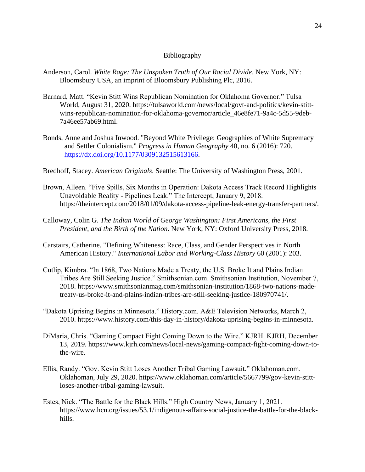# Bibliography

- Anderson, Carol. *White Rage: The Unspoken Truth of Our Racial Divide*. New York, NY: Bloomsbury USA, an imprint of Bloomsbury Publishing Plc, 2016.
- Barnard, Matt. "Kevin Stitt Wins Republican Nomination for Oklahoma Governor." Tulsa World, August 31, 2020. https://tulsaworld.com/news/local/govt-and-politics/kevin-stittwins-republican-nomination-for-oklahoma-governor/article\_46e8fe71-9a4c-5d55-9deb-7a46ee57ab69.html.
- Bonds, Anne and Joshua Inwood. "Beyond White Privilege: Geographies of White Supremacy and Settler Colonialism." *Progress in Human Geography* 40, no. 6 (2016): 720. [https://dx.doi.org/10.1177/0309132515613166.](https://dx.doi.org/10.1177/0309132515613166)
- Bredhoff, Stacey. *American Originals*. Seattle: The University of Washington Press, 2001.
- Brown, Alleen. "Five Spills, Six Months in Operation: Dakota Access Track Record Highlights Unavoidable Reality - Pipelines Leak." The Intercept, January 9, 2018. https://theintercept.com/2018/01/09/dakota-access-pipeline-leak-energy-transfer-partners/.
- Calloway, Colin G. *The Indian World of George Washington: First Americans, the First President, and the Birth of the Nation*. New York, NY: Oxford University Press, 2018.
- Carstairs, Catherine. "Defining Whiteness: Race, Class, and Gender Perspectives in North American History." *International Labor and Working-Class History* 60 (2001): 203.
- Cutlip, Kimbra. "In 1868, Two Nations Made a Treaty, the U.S. Broke It and Plains Indian Tribes Are Still Seeking Justice." Smithsonian.com. Smithsonian Institution, November 7, 2018. https://www.smithsonianmag.com/smithsonian-institution/1868-two-nations-madetreaty-us-broke-it-and-plains-indian-tribes-are-still-seeking-justice-180970741/.
- "Dakota Uprising Begins in Minnesota." History.com. A&E Television Networks, March 2, 2010. https://www.history.com/this-day-in-history/dakota-uprising-begins-in-minnesota.
- DiMaria, Chris. "Gaming Compact Fight Coming Down to the Wire." KJRH. KJRH, December 13, 2019. https://www.kjrh.com/news/local-news/gaming-compact-fight-coming-down-tothe-wire.
- Ellis, Randy. "Gov. Kevin Stitt Loses Another Tribal Gaming Lawsuit." Oklahoman.com. Oklahoman, July 29, 2020. https://www.oklahoman.com/article/5667799/gov-kevin-stittloses-another-tribal-gaming-lawsuit.
- Estes, Nick. "The Battle for the Black Hills." High Country News, January 1, 2021. https://www.hcn.org/issues/53.1/indigenous-affairs-social-justice-the-battle-for-the-blackhills.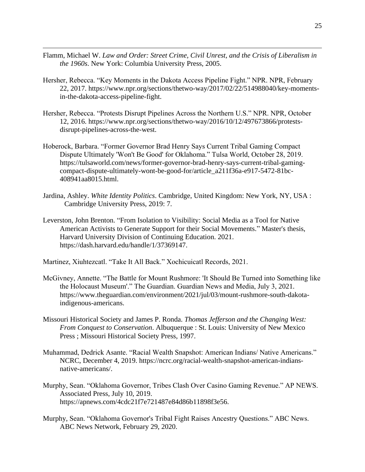- Flamm, Michael W. *Law and Order: Street Crime, Civil Unrest, and the Crisis of Liberalism in the 1960s*. New York: Columbia University Press, 2005.
- Hersher, Rebecca. "Key Moments in the Dakota Access Pipeline Fight." NPR. NPR, February 22, 2017. https://www.npr.org/sections/thetwo-way/2017/02/22/514988040/key-momentsin-the-dakota-access-pipeline-fight.
- Hersher, Rebecca. "Protests Disrupt Pipelines Across the Northern U.S." NPR. NPR, October 12, 2016. https://www.npr.org/sections/thetwo-way/2016/10/12/497673866/protestsdisrupt-pipelines-across-the-west.
- Hoberock, Barbara. "Former Governor Brad Henry Says Current Tribal Gaming Compact Dispute Ultimately 'Won't Be Good' for Oklahoma." Tulsa World, October 28, 2019. https://tulsaworld.com/news/former-governor-brad-henry-says-current-tribal-gamingcompact-dispute-ultimately-wont-be-good-for/article\_a211f36a-e917-5472-81bc-408941aa8015.html.
- Jardina, Ashley. *White Identity Politics*. Cambridge, United Kingdom: New York, NY, USA : Cambridge University Press, 2019: 7.
- Leverston, John Brenton. "From Isolation to Visibility: Social Media as a Tool for Native American Activists to Generate Support for their Social Movements." Master's thesis, Harvard University Division of Continuing Education. 2021. https://dash.harvard.edu/handle/1/37369147.
- Martinez, Xiuhtezcatl. "Take It All Back." Xochicuicatl Records, 2021.
- McGivney, Annette. "The Battle for Mount Rushmore: 'It Should Be Turned into Something like the Holocaust Museum'." The Guardian. Guardian News and Media, July 3, 2021. https://www.theguardian.com/environment/2021/jul/03/mount-rushmore-south-dakotaindigenous-americans.
- Missouri Historical Society and James P. Ronda. *Thomas Jefferson and the Changing West: From Conquest to Conservation*. Albuquerque : St. Louis: University of New Mexico Press ; Missouri Historical Society Press, 1997.
- Muhammad, Dedrick Asante. "Racial Wealth Snapshot: American Indians/ Native Americans." NCRC, December 4, 2019. https://ncrc.org/racial-wealth-snapshot-american-indiansnative-americans/.
- Murphy, Sean. "Oklahoma Governor, Tribes Clash Over Casino Gaming Revenue." AP NEWS. Associated Press, July 10, 2019. https://apnews.com/4cdc21f7e721487e84d86b11898f3e56.
- Murphy, Sean. "Oklahoma Governor's Tribal Fight Raises Ancestry Questions." ABC News. ABC News Network, February 29, 2020.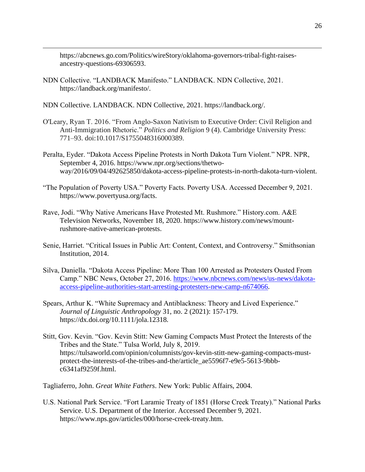https://abcnews.go.com/Politics/wireStory/oklahoma-governors-tribal-fight-raisesancestry-questions-69306593.

NDN Collective. "LANDBACK Manifesto." LANDBACK. NDN Collective, 2021. https://landback.org/manifesto/.

NDN Collective. LANDBACK. NDN Collective, 2021. https://landback.org/.

- O'Leary, Ryan T. 2016. "From Anglo-Saxon Nativism to Executive Order: Civil Religion and Anti-Immigration Rhetoric." *Politics and Religion* 9 (4). Cambridge University Press: 771–93. doi:10.1017/S1755048316000389.
- Peralta, Eyder. "Dakota Access Pipeline Protests in North Dakota Turn Violent." NPR. NPR, September 4, 2016. https://www.npr.org/sections/thetwoway/2016/09/04/492625850/dakota-access-pipeline-protests-in-north-dakota-turn-violent.
- "The Population of Poverty USA." Poverty Facts. Poverty USA. Accessed December 9, 2021. https://www.povertyusa.org/facts.
- Rave, Jodi. "Why Native Americans Have Protested Mt. Rushmore." History.com. A&E Television Networks, November 18, 2020. https://www.history.com/news/mountrushmore-native-american-protests.
- Senie, Harriet. "Critical Issues in Public Art: Content, Context, and Controversy." Smithsonian Institution, 2014.
- Silva, Daniella. "Dakota Access Pipeline: More Than 100 Arrested as Protesters Ousted From Camp." NBC News, October 27, 2016. [https://www.nbcnews.com/news/us-news/dakota](https://www.nbcnews.com/news/us-news/dakota-access-pipeline-authorities-start-arresting-protesters-new-camp-n674066)[access-pipeline-authorities-start-arresting-protesters-new-camp-n674066.](https://www.nbcnews.com/news/us-news/dakota-access-pipeline-authorities-start-arresting-protesters-new-camp-n674066)
- Spears, Arthur K. "White Supremacy and Antiblackness: Theory and Lived Experience." *Journal of Linguistic Anthropology* 31, no. 2 (2021): 157-179. https://dx.doi.org/10.1111/jola.12318.
- Stitt, Gov. Kevin. "Gov. Kevin Stitt: New Gaming Compacts Must Protect the Interests of the Tribes and the State." Tulsa World, July 8, 2019. https://tulsaworld.com/opinion/columnists/gov-kevin-stitt-new-gaming-compacts-mustprotect-the-interests-of-the-tribes-and-the/article\_ae5596f7-e9e5-5613-9bbbc6341af9259f.html.

Tagliaferro, John. *Great White Fathers*. New York: Public Affairs, 2004.

U.S. National Park Service. "Fort Laramie Treaty of 1851 (Horse Creek Treaty)." National Parks Service. U.S. Department of the Interior. Accessed December 9, 2021. https://www.nps.gov/articles/000/horse-creek-treaty.htm.